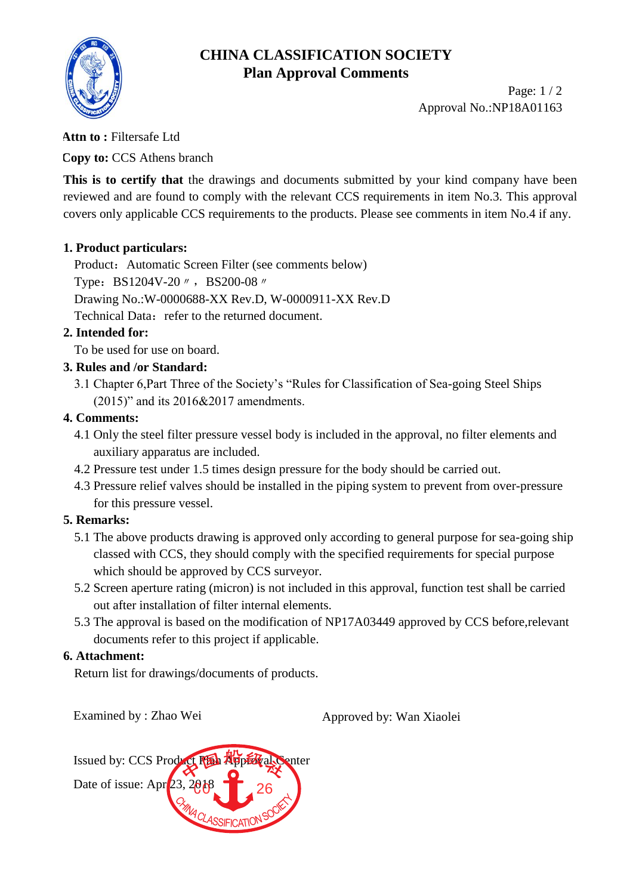

# **CHINA CLASSIFICATION SOCIETY Plan Approval Comments**

Page: 1 / 2 Approval No.:NP18A01163

#### **Attn to :** Filtersafe Ltd

**Copy to:** CCS Athens branch

**This is to certify that** the drawings and documents submitted by your kind company have been reviewed and are found to comply with the relevant CCS requirements in item No.3. This approval covers only applicable CCS requirements to the products. Please see comments in item No.4 if any.

### **1. Product particulars:**

Product: Automatic Screen Filter (see comments below) Type: BS1204V-20 // , BS200-08 // Drawing No.:W-0000688-XX Rev.D, W-0000911-XX Rev.D Technical Data: refer to the returned document.

### **2. Intended for:**

To be used for use on board.

### **3. Rules and /or Standard:**

3.1 Chapter 6,Part Three of the Society's "Rules for Classification of Sea-going Steel Ships (2015)" and its 2016&2017 amendments.

### **4. Comments:**

- 4.1 Only the steel filter pressure vessel body is included in the approval, no filter elements and auxiliary apparatus are included.
- 4.2 Pressure test under 1.5 times design pressure for the body should be carried out.
- 4.3 Pressure relief valves should be installed in the piping system to prevent from over-pressure for this pressure vessel.

## **5. Remarks:**

- 5.1 The above products drawing is approved only according to general purpose for sea-going ship classed with CCS, they should comply with the specified requirements for special purpose which should be approved by CCS surveyor.
- 5.2 Screen aperture rating (micron) is not included in this approval, function test shall be carried out after installation of filter internal elements.
- 5.3 The approval is based on the modification of NP17A03449 approved by CCS before,relevant documents refer to this project if applicable.

#### **6. Attachment:**

Return list for drawings/documents of products.

Examined by : Zhao Wei Approved by: Wan Xiaolei